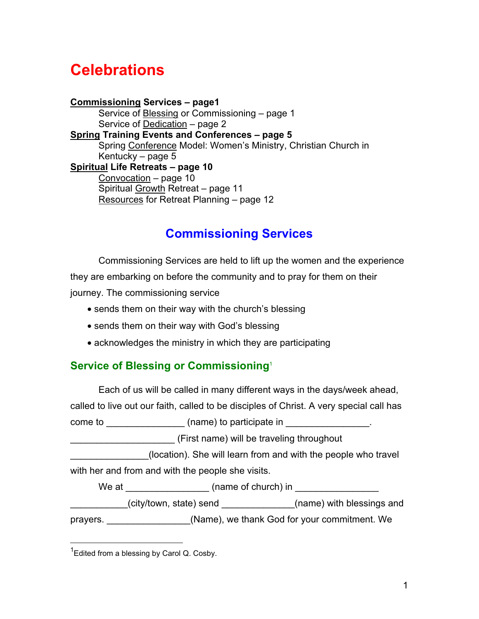# **Celebrations**

**Commissioning Services – page1** Service of Blessing or Commissioning – page 1 Service of [Dedication](#page-1-0) – page 2 **[Spring](#page-4-0) Training Events and Conferences – page 5** Spring [Conference](#page-4-0) Model: Women's Ministry, Christian Church in Kentucky – page 5 **[Spiritual](#page-9-0) Life Retreats – page 10** [Convocation](#page-9-0) – page 10 Spiritual [Growth](#page-10-0) Retreat – page 11 [Resources](#page-11-0) for Retreat Planning – page 12

# **Commissioning Services**

Commissioning Services are held to lift up the women and the experience they are embarking on before the community and to pray for them on their journey. The commissioning service

- sends them on their way with the church's blessing
- sends them on their way with God's blessing
- acknowledges the ministry in which they are participating

## **Service of Blessing or Commissioning**<sup>1</sup>

Each of us will be called in many different ways in the days/week ahead,

called to live out our faith, called to be disciples of Christ. A very special call has

come to  $\frac{1}{\sqrt{2}}$  (name) to participate in  $\frac{1}{\sqrt{2}}$ 

\_\_\_\_\_\_\_\_\_\_\_\_\_\_\_\_\_\_\_\_ (First name) will be traveling throughout

(location). She will learn from and with the people who travel with her and from and with the people she visits.

We at  $\Box$  (name of church) in

\_\_\_\_\_\_\_\_\_\_\_(city/town, state) send \_\_\_\_\_\_\_\_\_\_\_\_\_\_(name) with blessings and

prayers. \_\_\_\_\_\_\_\_\_\_\_\_\_\_\_\_(Name), we thank God for your commitment. We

 <sup>1</sup> Edited from a blessing by Carol Q. Cosby.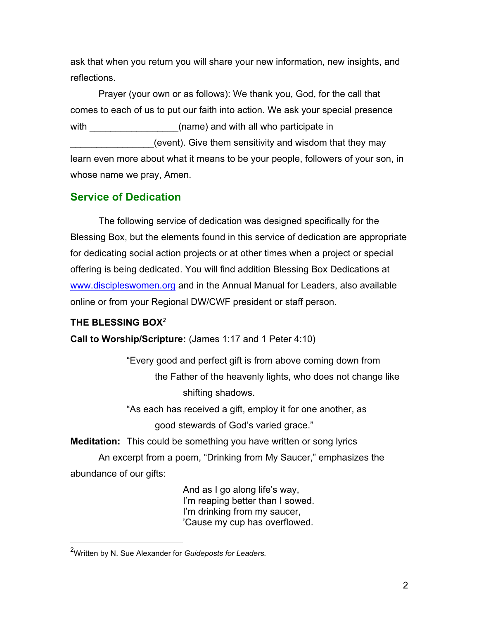<span id="page-1-0"></span>ask that when you return you will share your new information, new insights, and reflections.

Prayer (your own or as follows): We thank you, God, for the call that comes to each of us to put our faith into action. We ask your special presence with (name) and with all who participate in

(event). Give them sensitivity and wisdom that they may learn even more about what it means to be your people, followers of your son, in whose name we pray, Amen.

# **Service of Dedication**

The following service of dedication was designed specifically for the Blessing Box, but the elements found in this service of dedication are appropriate for dedicating social action projects or at other times when a project or special offering is being dedicated. You will find addition Blessing Box Dedications at <www.discipleswomen.org>and in the Annual Manual for Leaders, also available online or from your Regional DW/CWF president or staff person.

## **THE BLESSING BOX***<sup>2</sup>*

**Call to Worship/Scripture:** (James 1:17 and 1 Peter 4:10)

"Every good and perfect gift is from above coming down from the Father of the heavenly lights, who does not change like shifting shadows.

"As each has received a gift, employ it for one another, as

good stewards of God's varied grace."

**Meditation:** This could be something you have written or song lyrics

An excerpt from a poem, "Drinking from My Saucer," emphasizes the abundance of our gifts:

> And as I go along life's way, I'm reaping better than I sowed. I'm drinking from my saucer, 'Cause my cup has overflowed.

 <sup>2</sup> Written by N. Sue Alexander for *Guideposts for Leaders.*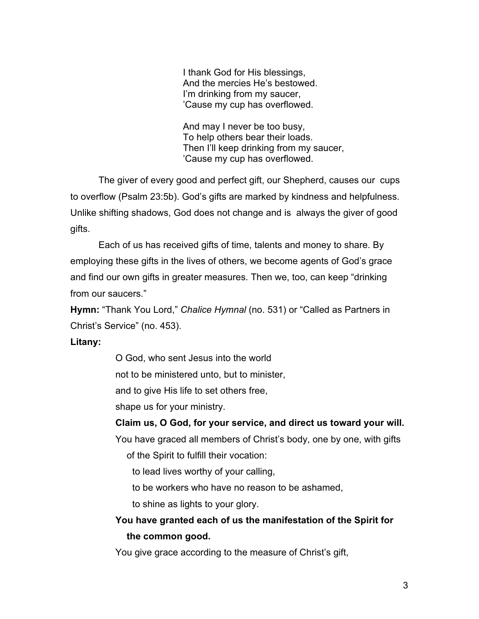I thank God for His blessings, And the mercies He's bestowed. I'm drinking from my saucer, 'Cause my cup has overflowed.

And may I never be too busy, To help others bear their loads. Then I'll keep drinking from my saucer, 'Cause my cup has overflowed.

The giver of every good and perfect gift, our Shepherd, causes our cups to overflow (Psalm 23:5b). God's gifts are marked by kindness and helpfulness. Unlike shifting shadows, God does not change and is always the giver of good gifts.

Each of us has received gifts of time, talents and money to share. By employing these gifts in the lives of others, we become agents of God's grace and find our own gifts in greater measures. Then we, too, can keep "drinking from our saucers."

**Hymn:** "Thank You Lord," *Chalice Hymnal* (no. 531) or "Called as Partners in Christ's Service" (no. 453).

### **Litany:**

O God, who sent Jesus into the world

not to be ministered unto, but to minister,

and to give His life to set others free,

shape us for your ministry.

### **Claim us, O God, for your service, and direct us toward your will.**

You have graced all members of Christ's body, one by one, with gifts

of the Spirit to fulfill their vocation:

to lead lives worthy of your calling,

to be workers who have no reason to be ashamed,

to shine as lights to your glory.

# **You have granted each of us the manifestation of the Spirit for the common good.**

You give grace according to the measure of Christ's gift,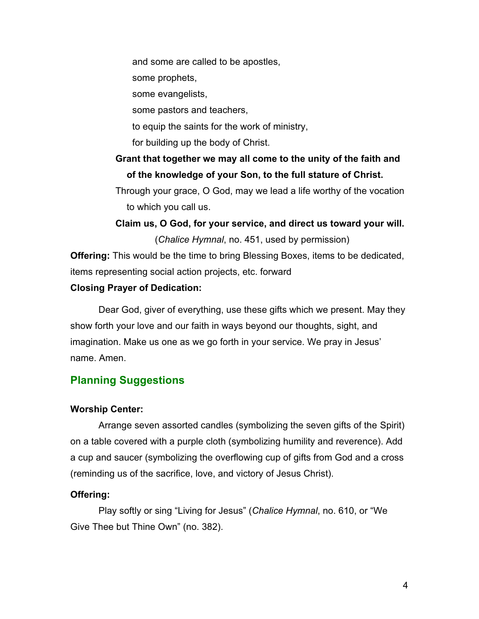and some are called to be apostles,

some prophets,

some evangelists,

some pastors and teachers,

to equip the saints for the work of ministry,

for building up the body of Christ.

## **Grant that together we may all come to the unity of the faith and of the knowledge of your Son, to the full stature of Christ.**

Through your grace, O God, may we lead a life worthy of the vocation to which you call us.

**Claim us, O God, for your service, and direct us toward your will.** (*Chalice Hymnal*, no. 451, used by permission)

**Offering:** This would be the time to bring Blessing Boxes, items to be dedicated, items representing social action projects, etc. forward

### **Closing Prayer of Dedication:**

Dear God, giver of everything, use these gifts which we present. May they show forth your love and our faith in ways beyond our thoughts, sight, and imagination. Make us one as we go forth in your service. We pray in Jesus' name. Amen.

## **Planning Suggestions**

#### **Worship Center:**

Arrange seven assorted candles (symbolizing the seven gifts of the Spirit) on a table covered with a purple cloth (symbolizing humility and reverence). Add a cup and saucer (symbolizing the overflowing cup of gifts from God and a cross (reminding us of the sacrifice, love, and victory of Jesus Christ).

### **Offering:**

Play softly or sing "Living for Jesus" (*Chalice Hymnal*, no. 610, or "We Give Thee but Thine Own" (no. 382).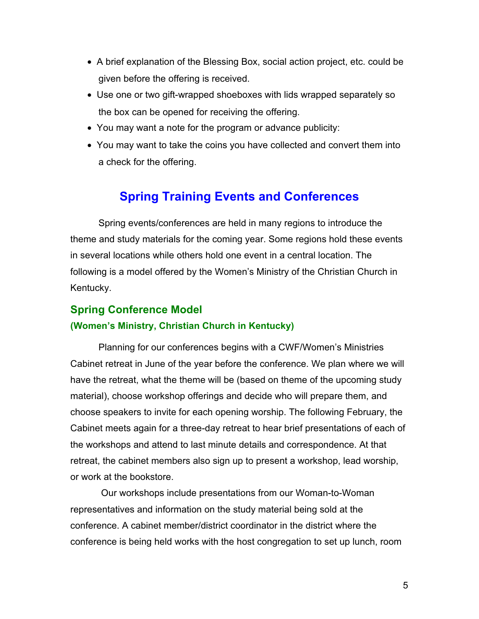- <span id="page-4-0"></span>• A brief explanation of the Blessing Box, social action project, etc. could be given before the offering is received.
- Use one or two gift-wrapped shoeboxes with lids wrapped separately so the box can be opened for receiving the offering.
- You may want a note for the program or advance publicity:
- You may want to take the coins you have collected and convert them into a check for the offering.

# **Spring Training Events and Conferences**

Spring events/conferences are held in many regions to introduce the theme and study materials for the coming year. Some regions hold these events in several locations while others hold one event in a central location. The following is a model offered by the Women's Ministry of the Christian Church in Kentucky.

# **Spring Conference Model (Women's Ministry, Christian Church in Kentucky)**

Planning for our conferences begins with a CWF/Women's Ministries Cabinet retreat in June of the year before the conference. We plan where we will have the retreat, what the theme will be (based on theme of the upcoming study material), choose workshop offerings and decide who will prepare them, and choose speakers to invite for each opening worship. The following February, the Cabinet meets again for a three-day retreat to hear brief presentations of each of the workshops and attend to last minute details and correspondence. At that retreat, the cabinet members also sign up to present a workshop, lead worship, or work at the bookstore.

 Our workshops include presentations from our Woman-to-Woman representatives and information on the study material being sold at the conference. A cabinet member/district coordinator in the district where the conference is being held works with the host congregation to set up lunch, room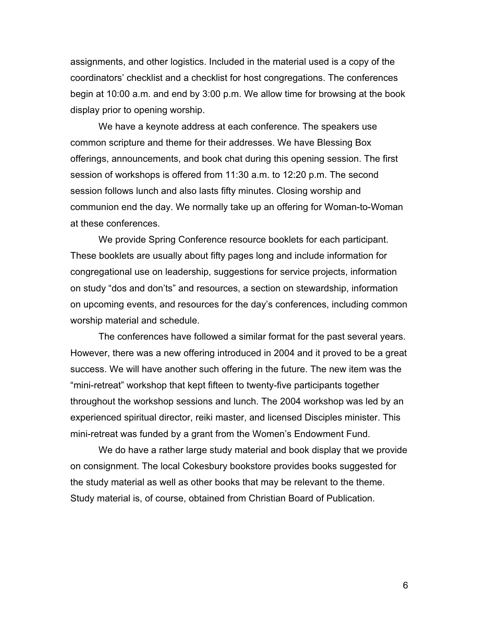assignments, and other logistics. Included in the material used is a copy of the coordinators' checklist and a checklist for host congregations. The conferences begin at 10:00 a.m. and end by 3:00 p.m. We allow time for browsing at the book display prior to opening worship.

We have a keynote address at each conference. The speakers use common scripture and theme for their addresses. We have Blessing Box offerings, announcements, and book chat during this opening session. The first session of workshops is offered from 11:30 a.m. to 12:20 p.m. The second session follows lunch and also lasts fifty minutes. Closing worship and communion end the day. We normally take up an offering for Woman-to-Woman at these conferences.

We provide Spring Conference resource booklets for each participant. These booklets are usually about fifty pages long and include information for congregational use on leadership, suggestions for service projects, information on study "dos and don'ts" and resources, a section on stewardship, information on upcoming events, and resources for the day's conferences, including common worship material and schedule.

The conferences have followed a similar format for the past several years. However, there was a new offering introduced in 2004 and it proved to be a great success. We will have another such offering in the future. The new item was the "mini-retreat" workshop that kept fifteen to twenty-five participants together throughout the workshop sessions and lunch. The 2004 workshop was led by an experienced spiritual director, reiki master, and licensed Disciples minister. This mini-retreat was funded by a grant from the Women's Endowment Fund.

We do have a rather large study material and book display that we provide on consignment. The local Cokesbury bookstore provides books suggested for the study material as well as other books that may be relevant to the theme. Study material is, of course, obtained from Christian Board of Publication.

6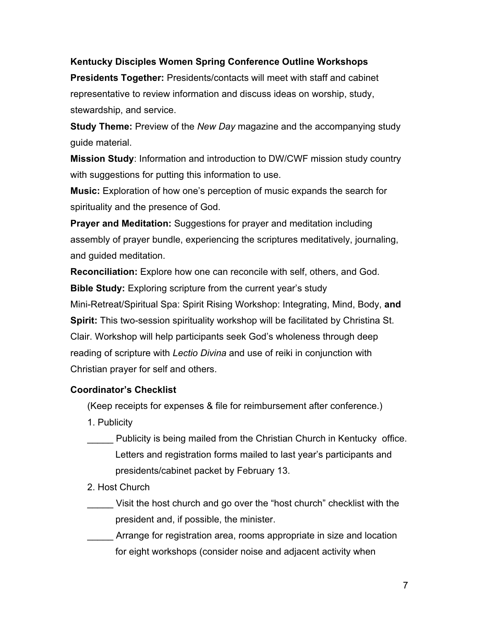### **Kentucky Disciples Women Spring Conference Outline Workshops**

**Presidents Together:** Presidents/contacts will meet with staff and cabinet representative to review information and discuss ideas on worship, study, stewardship, and service.

**Study Theme:** Preview of the *New Day* magazine and the accompanying study guide material.

**Mission Study**: Information and introduction to DW/CWF mission study country with suggestions for putting this information to use.

**Music:** Exploration of how one's perception of music expands the search for spirituality and the presence of God.

**Prayer and Meditation:** Suggestions for prayer and meditation including assembly of prayer bundle, experiencing the scriptures meditatively, journaling, and guided meditation.

**Reconciliation:** Explore how one can reconcile with self, others, and God.

**Bible Study:** Exploring scripture from the current year's study Mini-Retreat/Spiritual Spa: Spirit Rising Workshop: Integrating, Mind, Body, **and Spirit:** This two-session spirituality workshop will be facilitated by Christina St. Clair. Workshop will help participants seek God's wholeness through deep reading of scripture with *Lectio Divina* and use of reiki in conjunction with Christian prayer for self and others.

### **Coordinator's Checklist**

(Keep receipts for expenses & file for reimbursement after conference.)

- 1. Publicity
- Publicity is being mailed from the Christian Church in Kentucky office. Letters and registration forms mailed to last year's participants and presidents/cabinet packet by February 13.
- 2. Host Church
- Visit the host church and go over the "host church" checklist with the president and, if possible, the minister.
- Arrange for registration area, rooms appropriate in size and location for eight workshops (consider noise and adjacent activity when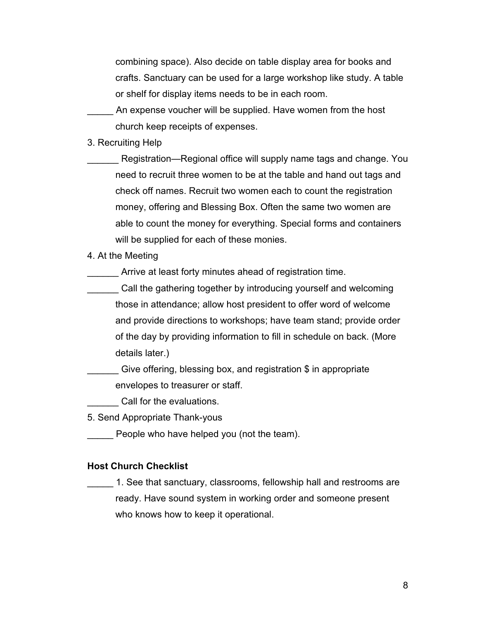combining space). Also decide on table display area for books and crafts. Sanctuary can be used for a large workshop like study. A table or shelf for display items needs to be in each room.

An expense voucher will be supplied. Have women from the host church keep receipts of expenses.

3. Recruiting Help

Registration—Regional office will supply name tags and change. You need to recruit three women to be at the table and hand out tags and check off names. Recruit two women each to count the registration money, offering and Blessing Box. Often the same two women are able to count the money for everything. Special forms and containers will be supplied for each of these monies.

4. At the Meeting

Arrive at least forty minutes ahead of registration time.

Call the gathering together by introducing yourself and welcoming those in attendance; allow host president to offer word of welcome and provide directions to workshops; have team stand; provide order of the day by providing information to fill in schedule on back. (More details later.)

Give offering, blessing box, and registration  $\$$  in appropriate envelopes to treasurer or staff.

\_\_\_\_\_\_ Call for the evaluations.

5. Send Appropriate Thank-yous

\_\_\_\_\_ People who have helped you (not the team).

#### **Host Church Checklist**

\_\_\_\_\_ 1. See that sanctuary, classrooms, fellowship hall and restrooms are ready. Have sound system in working order and someone present who knows how to keep it operational.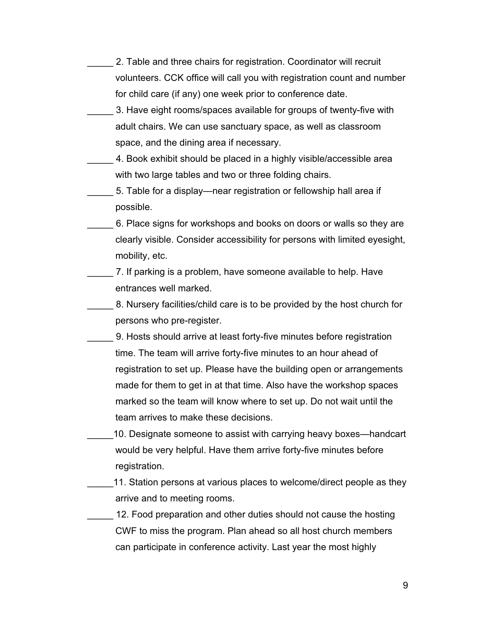- 2. Table and three chairs for registration. Coordinator will recruit volunteers. CCK office will call you with registration count and number for child care (if any) one week prior to conference date.
- 3. Have eight rooms/spaces available for groups of twenty-five with adult chairs. We can use sanctuary space, as well as classroom space, and the dining area if necessary.
- 4. Book exhibit should be placed in a highly visible/accessible area with two large tables and two or three folding chairs.
	- 5. Table for a display—near registration or fellowship hall area if possible.
- \_\_\_\_\_ 6. Place signs for workshops and books on doors or walls so they are clearly visible. Consider accessibility for persons with limited eyesight, mobility, etc.
- \_\_\_\_\_ 7. If parking is a problem, have someone available to help. Have entrances well marked.
- 8. Nursery facilities/child care is to be provided by the host church for persons who pre-register.
- \_\_\_\_\_ 9. Hosts should arrive at least forty-five minutes before registration time. The team will arrive forty-five minutes to an hour ahead of registration to set up. Please have the building open or arrangements made for them to get in at that time. Also have the workshop spaces marked so the team will know where to set up. Do not wait until the team arrives to make these decisions.
	- \_\_\_\_\_10. Designate someone to assist with carrying heavy boxes—handcart would be very helpful. Have them arrive forty-five minutes before registration.
- 11. Station persons at various places to welcome/direct people as they arrive and to meeting rooms.
- 12. Food preparation and other duties should not cause the hosting CWF to miss the program. Plan ahead so all host church members can participate in conference activity. Last year the most highly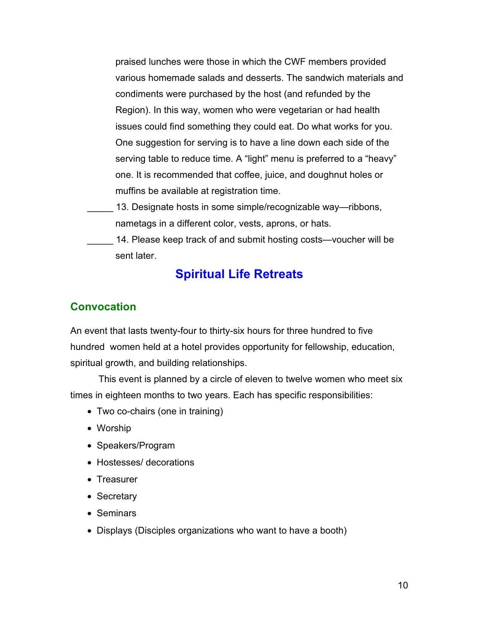<span id="page-9-0"></span>praised lunches were those in which the CWF members provided various homemade salads and desserts. The sandwich materials and condiments were purchased by the host (and refunded by the Region). In this way, women who were vegetarian or had health issues could find something they could eat. Do what works for you. One suggestion for serving is to have a line down each side of the serving table to reduce time. A "light" menu is preferred to a "heavy" one. It is recommended that coffee, juice, and doughnut holes or muffins be available at registration time.

- 13. Designate hosts in some simple/recognizable way—ribbons, nametags in a different color, vests, aprons, or hats.
	- 14. Please keep track of and submit hosting costs—voucher will be sent later.

# **Spiritual Life Retreats**

## **Convocation**

An event that lasts twenty-four to thirty-six hours for three hundred to five hundred women held at a hotel provides opportunity for fellowship, education, spiritual growth, and building relationships.

This event is planned by a circle of eleven to twelve women who meet six times in eighteen months to two years. Each has specific responsibilities:

- Two co-chairs (one in training)
- Worship
- Speakers/Program
- Hostesses/ decorations
- Treasurer
- Secretary
- Seminars
- Displays (Disciples organizations who want to have a booth)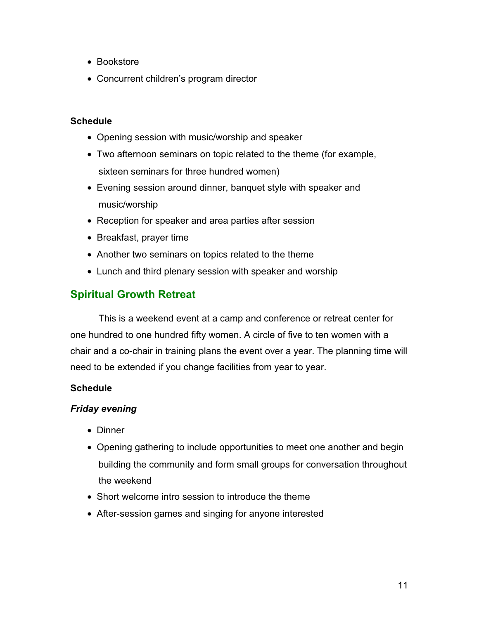- <span id="page-10-0"></span>• Bookstore
- Concurrent children's program director

### **Schedule**

- Opening session with music/worship and speaker
- Two afternoon seminars on topic related to the theme (for example, sixteen seminars for three hundred women)
- Evening session around dinner, banquet style with speaker and music/worship
- Reception for speaker and area parties after session
- Breakfast, prayer time
- Another two seminars on topics related to the theme
- Lunch and third plenary session with speaker and worship

## **Spiritual Growth Retreat**

This is a weekend event at a camp and conference or retreat center for one hundred to one hundred fifty women. A circle of five to ten women with a chair and a co-chair in training plans the event over a year. The planning time will need to be extended if you change facilities from year to year.

### **Schedule**

### *Friday evening*

- Dinner
- Opening gathering to include opportunities to meet one another and begin building the community and form small groups for conversation throughout the weekend
- Short welcome intro session to introduce the theme
- After-session games and singing for anyone interested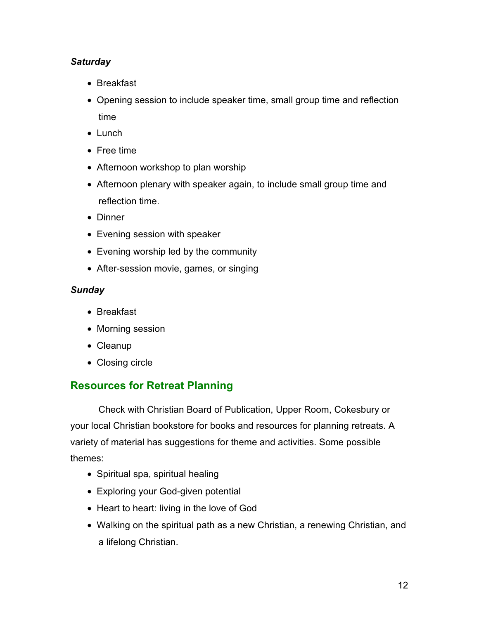### <span id="page-11-0"></span>*Saturday*

- Breakfast
- Opening session to include speaker time, small group time and reflection time
- Lunch
- Free time
- Afternoon workshop to plan worship
- Afternoon plenary with speaker again, to include small group time and reflection time.
- Dinner
- Evening session with speaker
- Evening worship led by the community
- After-session movie, games, or singing

## *Sunday*

- Breakfast
- Morning session
- Cleanup
- Closing circle

# **Resources for Retreat Planning**

Check with Christian Board of Publication, Upper Room, Cokesbury or your local Christian bookstore for books and resources for planning retreats. A variety of material has suggestions for theme and activities. Some possible themes:

- Spiritual spa, spiritual healing
- Exploring your God-given potential
- Heart to heart: living in the love of God
- Walking on the spiritual path as a new Christian, a renewing Christian, and a lifelong Christian.